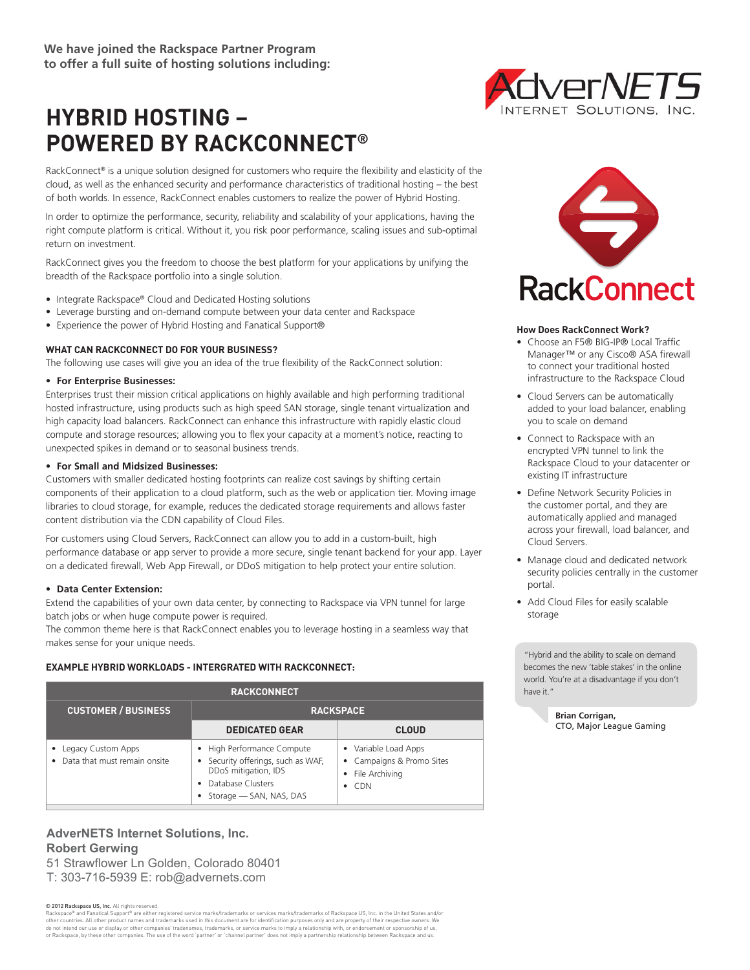# **HYBRID HOSTING – POWERED BY RACKCONNECT®**

RackConnect® is a unique solution designed for customers who require the flexibility and elasticity of the cloud, as well as the enhanced security and performance characteristics of traditional hosting – the best of both worlds. In essence, RackConnect enables customers to realize the power of Hybrid Hosting.

In order to optimize the performance, security, reliability and scalability of your applications, having the right compute platform is critical. Without it, you risk poor performance, scaling issues and sub-optimal return on investment.

RackConnect gives you the freedom to choose the best platform for your applications by unifying the breadth of the Rackspace portfolio into a single solution.

- Integrate Rackspace® Cloud and Dedicated Hosting solutions
- Leverage bursting and on-demand compute between your data center and Rackspace
- Experience the power of Hybrid Hosting and Fanatical Support®

#### **WHAT CAN RACKCONNECT DO FOR YOUR BUSINESS?**

The following use cases will give you an idea of the true flexibility of the RackConnect solution:

#### **• For Enterprise Businesses:**

Enterprises trust their mission critical applications on highly available and high performing traditional hosted infrastructure, using products such as high speed SAN storage, single tenant virtualization and high capacity load balancers. RackConnect can enhance this infrastructure with rapidly elastic cloud compute and storage resources; allowing you to flex your capacity at a moment's notice, reacting to unexpected spikes in demand or to seasonal business trends.

#### **• For Small and Midsized Businesses:**

Customers with smaller dedicated hosting footprints can realize cost savings by shifting certain components of their application to a cloud platform, such as the web or application tier. Moving image libraries to cloud storage, for example, reduces the dedicated storage requirements and allows faster content distribution via the CDN capability of Cloud Files.

For customers using Cloud Servers, RackConnect can allow you to add in a custom-built, high performance database or app server to provide a more secure, single tenant backend for your app. Layer on a dedicated firewall, Web App Firewall, or DDoS mitigation to help protect your entire solution.

#### **• Data Center Extension:**

Extend the capabilities of your own data center, by connecting to Rackspace via VPN tunnel for large batch jobs or when huge compute power is required.

The common theme here is that RackConnect enables you to leverage hosting in a seamless way that makes sense for your unique needs.

#### **EXAMPLE HYBRID WORKLOADS - INTERGRATED WITH RACKCONNECT:**

| <b>RACKCONNECT</b>                                                |                                                                                                                                        |                                                                                        |
|-------------------------------------------------------------------|----------------------------------------------------------------------------------------------------------------------------------------|----------------------------------------------------------------------------------------|
| <b>CUSTOMER / BUSINESS</b>                                        | <b>RACKSPACE</b>                                                                                                                       |                                                                                        |
|                                                                   | <b>DEDICATED GEAR</b>                                                                                                                  | <b>CLOUD</b>                                                                           |
| • Legacy Custom Apps<br>Data that must remain onsite<br>$\bullet$ | • High Performance Compute<br>Security offerings, such as WAF,<br>DDoS mitigation, IDS<br>Database Clusters<br>Storage - SAN, NAS, DAS | • Variable Load Apps<br>• Campaigns & Promo Sites<br>• File Archiving<br>$\bullet$ CDN |

## **AdverNETS Internet Solutions, Inc. Robert Gerwing** 51 Strawflower Ln Golden, Colorado 80401

T: 303-716-5939 E: rob@advernets.com

© 2012 Rackspace US, Inc. All rights reserved.

Rackspace® and Fanatical Support® are either registered service marks/trademarks or services marks/trademarks of Rackspace US, Inc. in the United States and/or other countries. All other product names and trademarks used in this document are for identification purposes only and are property of their respective owners. We do not intend our use or display or other companies' tradenames, trademarks, or service marks to imply a relationship with, or endorsement or sponsorship of us, or Rackspace, by these other companies. The use of the word 'partner' or 'channel partner' does not imply a partnership relationship between Rackspace and us.





#### **How Does RackConnect Work?**

- Choose an F5® BIG-IP® Local Traffic Manager™ or any Cisco® ASA firewall to connect your traditional hosted infrastructure to the Rackspace Cloud
- Cloud Servers can be automatically added to your load balancer, enabling you to scale on demand
- Connect to Rackspace with an encrypted VPN tunnel to link the Rackspace Cloud to your datacenter or existing IT infrastructure
- Define Network Security Policies in the customer portal, and they are automatically applied and managed across your firewall, load balancer, and Cloud Servers.
- Manage cloud and dedicated network security policies centrally in the customer portal.
- Add Cloud Files for easily scalable storage

"Hybrid and the ability to scale on demand becomes the new 'table stakes' in the online world. You're at a disadvantage if you don't have it."

> **Brian Corrigan,** CTO, Major League Gaming